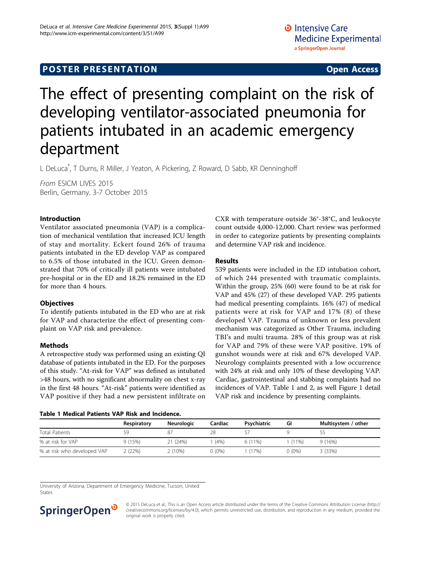# The effect of presenting complaint on the risk of developing ventilator-associated pneumonia for patients intubated in an academic emergency department

L DeLuca\* , T Durns, R Miller, J Yeaton, A Pickering, Z Roward, D Sabb, KR Denninghoff

From ESICM LIVES 2015 Berlin, Germany. 3-7 October 2015

### Introduction

Ventilator associated pneumonia (VAP) is a complication of mechanical ventilation that increased ICU length of stay and mortality. Eckert found 26% of trauma patients intubated in the ED develop VAP as compared to 6.5% of those intubated in the ICU. Green demonstrated that 70% of critically ill patients were intubated pre-hospital or in the ED and 18.2% remained in the ED for more than 4 hours.

# **Objectives**

To identify patients intubated in the ED who are at risk for VAP and characterize the effect of presenting complaint on VAP risk and prevalence.

### Methods

A retrospective study was performed using an existing QI database of patients intubated in the ED. For the purposes of this study. "At-risk for VAP" was defined as intubated >48 hours, with no significant abnormality on chest x-ray in the first 48 hours. "At-risk" patients were identified as VAP positive if they had a new persistent infiltrate on

|  |  |  | Table 1 Medical Patients VAP Risk and Incidence. |
|--|--|--|--------------------------------------------------|
|  |  |  |                                                  |

CXR with temperature outside 36°-38°C, and leukocyte count outside 4,000-12,000. Chart review was performed in order to categorize patients by presenting complaints and determine VAP risk and incidence.

## Results

539 patients were included in the ED intubation cohort, of which 244 presented with traumatic complaints. Within the group, 25% (60) were found to be at risk for VAP and 45% (27) of these developed VAP. 295 patients had medical presenting complaints. 16% (47) of medical patients were at risk for VAP and 17% (8) of these developed VAP. Trauma of unknown or less prevalent mechanism was categorized as Other Trauma, including TBI's and multi trauma. 28% of this group was at risk for VAP and 79% of these were VAP positive. 19% of gunshot wounds were at risk and 67% developed VAP. Neurology complaints presented with a low occurrence with 24% at risk and only 10% of these developing VAP. Cardiac, gastrointestinal and stabbing complaints had no incidences of VAP. Table 1 and [2](#page-1-0), as well Figure [1](#page-1-0) detail VAP risk and incidence by presenting complaints.

|                             | Respiratory | <b>Neurologic</b> | Cardiac  | Psychiatric | GI       | Multisystem / other |
|-----------------------------|-------------|-------------------|----------|-------------|----------|---------------------|
| <b>Total Patients</b>       | 59          | 87                | 28       |             |          | לל                  |
| % at risk for VAP           | 9 (15%)     | 21 (24%)          | (4% )    | $6(11\%)$   | (11%)    | 9(16%)              |
| % at risk who developed VAP | 2 (22%)     | 2(10%)            | $0(0\%)$ | (17%)       | $0(0\%)$ | 3(33%)              |

University of Arizona, Department of Emergency Medicine, Tucson, United States

# SpringerOpen<sup>®</sup>

© 2015 DeLuca et al.; This is an Open Access article distributed under the terms of the Creative Commons Attribution License [\(http://](http://creativecommons.org/licenses/by/4.0) [creativecommons.org/licenses/by/4.0](http://creativecommons.org/licenses/by/4.0)), which permits unrestricted use, distribution, and reproduction in any medium, provided the original work is properly cited.